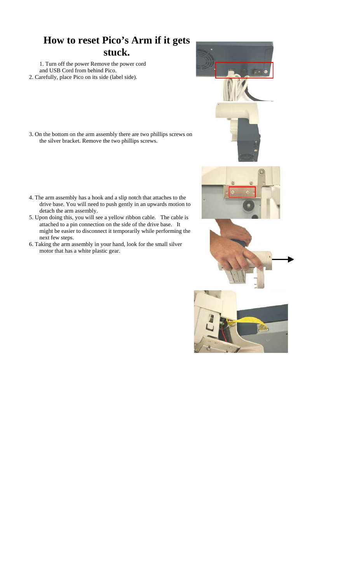## **How to reset Pico's Arm if it gets stuck.**

1. Turn off the power Remove the power cord and USB Cord from behind Pico. 2. Carefully, place Pico on its side (label side).

- 3. On the bottom on the arm assembly there are two phillips screws on the silver bracket. Remove the two phillips screws.
- 4. The arm assembly has a hook and a slip notch that attaches to the drive base. You will need to push gently in an upwards motion to detach the arm assembly.
- 5. Upon doing this, you will see a yellow ribbon cable. The cable is attached to a pin connection on the side of the drive base. It might be easier to disconnect it temporarily while performing the next few steps.
- 6. Taking the arm assembly in your hand, look for the small silver motor that has a white plastic gear.